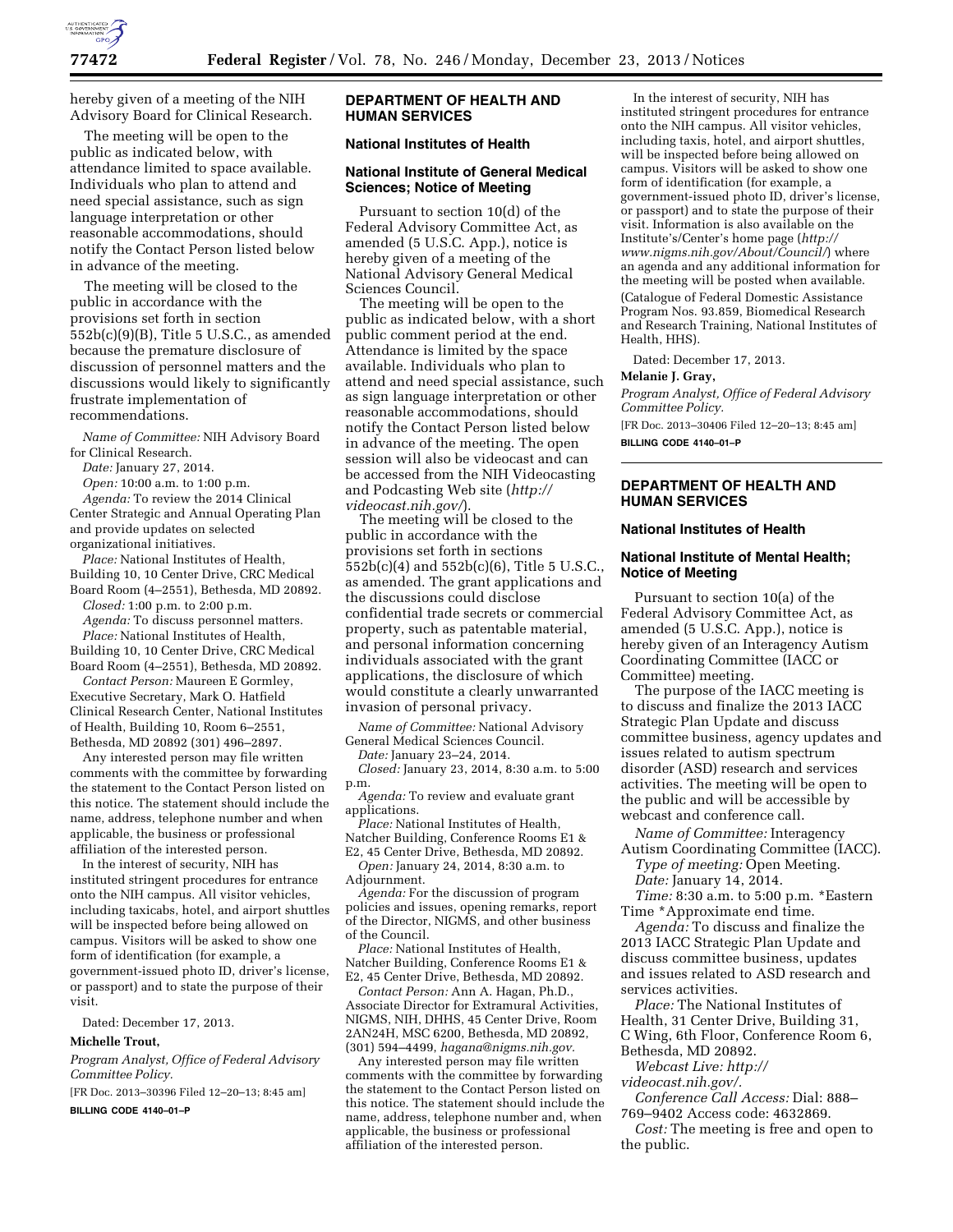

hereby given of a meeting of the NIH Advisory Board for Clinical Research.

The meeting will be open to the public as indicated below, with attendance limited to space available. Individuals who plan to attend and need special assistance, such as sign language interpretation or other reasonable accommodations, should notify the Contact Person listed below in advance of the meeting.

The meeting will be closed to the public in accordance with the provisions set forth in section  $552b(c)(9)(B)$ , Title 5 U.S.C., as amended because the premature disclosure of discussion of personnel matters and the discussions would likely to significantly frustrate implementation of recommendations.

*Name of Committee:* NIH Advisory Board for Clinical Research.

*Date:* January 27, 2014.

*Open:* 10:00 a.m. to 1:00 p.m. *Agenda:* To review the 2014 Clinical Center Strategic and Annual Operating Plan and provide updates on selected

organizational initiatives. *Place:* National Institutes of Health, Building 10, 10 Center Drive, CRC Medical Board Room (4–2551), Bethesda, MD 20892.

*Closed:* 1:00 p.m. to 2:00 p.m.

*Agenda:* To discuss personnel matters.

*Place:* National Institutes of Health, Building 10, 10 Center Drive, CRC Medical Board Room (4–2551), Bethesda, MD 20892.

*Contact Person:* Maureen E Gormley, Executive Secretary, Mark O. Hatfield Clinical Research Center, National Institutes of Health, Building 10, Room 6–2551, Bethesda, MD 20892 (301) 496–2897.

Any interested person may file written comments with the committee by forwarding the statement to the Contact Person listed on this notice. The statement should include the name, address, telephone number and when applicable, the business or professional affiliation of the interested person.

In the interest of security, NIH has instituted stringent procedures for entrance onto the NIH campus. All visitor vehicles, including taxicabs, hotel, and airport shuttles will be inspected before being allowed on campus. Visitors will be asked to show one form of identification (for example, a government-issued photo ID, driver's license, or passport) and to state the purpose of their visit.

Dated: December 17, 2013.

### **Michelle Trout,**

*Program Analyst, Office of Federal Advisory Committee Policy.* 

[FR Doc. 2013–30396 Filed 12–20–13; 8:45 am]

**BILLING CODE 4140–01–P** 

# **DEPARTMENT OF HEALTH AND HUMAN SERVICES**

# **National Institutes of Health**

## **National Institute of General Medical Sciences; Notice of Meeting**

Pursuant to section 10(d) of the Federal Advisory Committee Act, as amended (5 U.S.C. App.), notice is hereby given of a meeting of the National Advisory General Medical Sciences Council.

The meeting will be open to the public as indicated below, with a short public comment period at the end. Attendance is limited by the space available. Individuals who plan to attend and need special assistance, such as sign language interpretation or other reasonable accommodations, should notify the Contact Person listed below in advance of the meeting. The open session will also be videocast and can be accessed from the NIH Videocasting and Podcasting Web site (*[http://](http://videocast.nih.gov/) [videocast.nih.gov/](http://videocast.nih.gov/)*).

The meeting will be closed to the public in accordance with the provisions set forth in sections 552b(c)(4) and 552b(c)(6), Title 5 U.S.C., as amended. The grant applications and the discussions could disclose confidential trade secrets or commercial property, such as patentable material, and personal information concerning individuals associated with the grant applications, the disclosure of which would constitute a clearly unwarranted invasion of personal privacy.

*Name of Committee:* National Advisory General Medical Sciences Council.

*Date:* January 23–24, 2014.

*Closed:* January 23, 2014, 8:30 a.m. to 5:00 p.m.

*Agenda:* To review and evaluate grant applications.

*Place:* National Institutes of Health, Natcher Building, Conference Rooms E1 & E2, 45 Center Drive, Bethesda, MD 20892.

*Open:* January 24, 2014, 8:30 a.m. to Adjournment.

*Agenda:* For the discussion of program policies and issues, opening remarks, report of the Director, NIGMS, and other business of the Council.

*Place:* National Institutes of Health, Natcher Building, Conference Rooms E1 & E2, 45 Center Drive, Bethesda, MD 20892.

*Contact Person:* Ann A. Hagan, Ph.D., Associate Director for Extramural Activities, NIGMS, NIH, DHHS, 45 Center Drive, Room 2AN24H, MSC 6200, Bethesda, MD 20892, (301) 594–4499, *[hagana@nigms.nih.gov.](mailto:hagana@nigms.nih.gov)* 

Any interested person may file written comments with the committee by forwarding the statement to the Contact Person listed on this notice. The statement should include the name, address, telephone number and, when applicable, the business or professional affiliation of the interested person.

In the interest of security, NIH has instituted stringent procedures for entrance onto the NIH campus. All visitor vehicles, including taxis, hotel, and airport shuttles, will be inspected before being allowed on campus. Visitors will be asked to show one form of identification (for example, a government-issued photo ID, driver's license, or passport) and to state the purpose of their visit. Information is also available on the Institute's/Center's home page (*[http://](http://www.nigms.nih.gov/About/Council/) [www.nigms.nih.gov/About/Council/](http://www.nigms.nih.gov/About/Council/)*) where an agenda and any additional information for the meeting will be posted when available. (Catalogue of Federal Domestic Assistance Program Nos. 93.859, Biomedical Research and Research Training, National Institutes of Health, HHS).

Dated: December 17, 2013.

### **Melanie J. Gray,**

*Program Analyst, Office of Federal Advisory Committee Policy.* 

[FR Doc. 2013–30406 Filed 12–20–13; 8:45 am] **BILLING CODE 4140–01–P** 

# **DEPARTMENT OF HEALTH AND HUMAN SERVICES**

## **National Institutes of Health**

### **National Institute of Mental Health; Notice of Meeting**

Pursuant to section 10(a) of the Federal Advisory Committee Act, as amended (5 U.S.C. App.), notice is hereby given of an Interagency Autism Coordinating Committee (IACC or Committee) meeting.

The purpose of the IACC meeting is to discuss and finalize the 2013 IACC Strategic Plan Update and discuss committee business, agency updates and issues related to autism spectrum disorder (ASD) research and services activities. The meeting will be open to the public and will be accessible by webcast and conference call.

*Name of Committee:* Interagency Autism Coordinating Committee (IACC).

*Type of meeting:* Open Meeting. *Date:* January 14, 2014.

*Time:* 8:30 a.m. to 5:00 p.m. \*Eastern Time \*Approximate end time.

*Agenda:* To discuss and finalize the 2013 IACC Strategic Plan Update and discuss committee business, updates and issues related to ASD research and services activities.

*Place:* The National Institutes of Health, 31 Center Drive, Building 31, C Wing, 6th Floor, Conference Room 6, Bethesda, MD 20892.

*Webcast Live: [http://](http://videocast.nih.gov/)* 

*[videocast.nih.gov/.](http://videocast.nih.gov/)* 

*Conference Call Access:* Dial: 888– 769–9402 Access code: 4632869.

*Cost:* The meeting is free and open to the public.